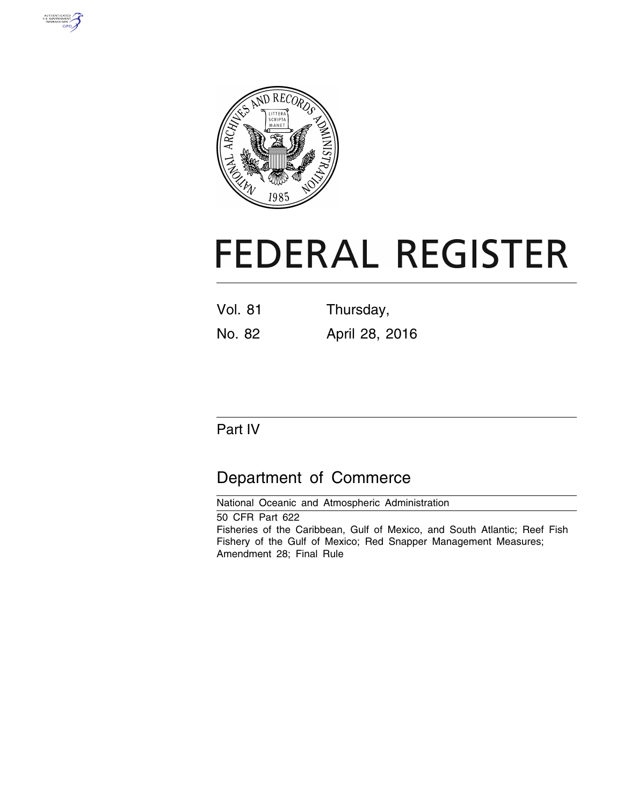



# **FEDERAL REGISTER**

| <b>Vol. 81</b> | Thursday,      |
|----------------|----------------|
| No. 82         | April 28, 2016 |

## Part IV

# Department of Commerce

National Oceanic and Atmospheric Administration 50 CFR Part 622 Fisheries of the Caribbean, Gulf of Mexico, and South Atlantic; Reef Fish Fishery of the Gulf of Mexico; Red Snapper Management Measures; Amendment 28; Final Rule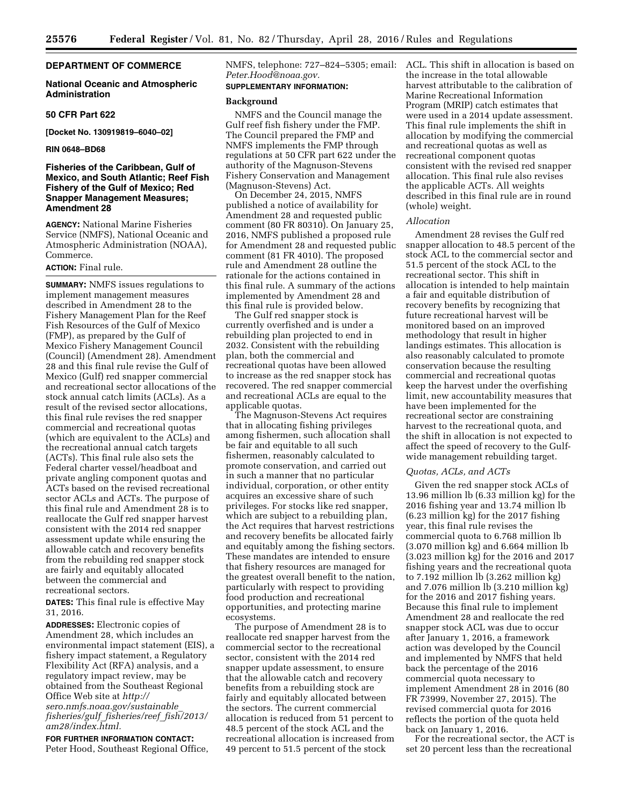#### **DEPARTMENT OF COMMERCE**

#### **National Oceanic and Atmospheric Administration**

#### **50 CFR Part 622**

**[Docket No. 130919819–6040–02]** 

#### **RIN 0648–BD68**

#### **Fisheries of the Caribbean, Gulf of Mexico, and South Atlantic; Reef Fish Fishery of the Gulf of Mexico; Red Snapper Management Measures; Amendment 28**

**AGENCY:** National Marine Fisheries Service (NMFS), National Oceanic and Atmospheric Administration (NOAA), Commerce.

#### **ACTION:** Final rule.

**SUMMARY:** NMFS issues regulations to implement management measures described in Amendment 28 to the Fishery Management Plan for the Reef Fish Resources of the Gulf of Mexico (FMP), as prepared by the Gulf of Mexico Fishery Management Council (Council) (Amendment 28). Amendment 28 and this final rule revise the Gulf of Mexico (Gulf) red snapper commercial and recreational sector allocations of the stock annual catch limits (ACLs). As a result of the revised sector allocations, this final rule revises the red snapper commercial and recreational quotas (which are equivalent to the ACLs) and the recreational annual catch targets (ACTs). This final rule also sets the Federal charter vessel/headboat and private angling component quotas and ACTs based on the revised recreational sector ACLs and ACTs. The purpose of this final rule and Amendment 28 is to reallocate the Gulf red snapper harvest consistent with the 2014 red snapper assessment update while ensuring the allowable catch and recovery benefits from the rebuilding red snapper stock are fairly and equitably allocated between the commercial and recreational sectors.

**DATES:** This final rule is effective May 31, 2016.

**ADDRESSES:** Electronic copies of Amendment 28, which includes an environmental impact statement (EIS), a fishery impact statement, a Regulatory Flexibility Act (RFA) analysis, and a regulatory impact review, may be obtained from the Southeast Regional Office Web site at *[http://](http://sero.nmfs.noaa.gov/sustainable_fisheries/gulf_fisheries/reef_fish/2013/am28/index.html) [sero.nmfs.noaa.gov/sustainable](http://sero.nmfs.noaa.gov/sustainable_fisheries/gulf_fisheries/reef_fish/2013/am28/index.html)*\_ *[fisheries/gulf](http://sero.nmfs.noaa.gov/sustainable_fisheries/gulf_fisheries/reef_fish/2013/am28/index.html)*\_*fisheries/reef*\_*fish/2013/ [am28/index.html.](http://sero.nmfs.noaa.gov/sustainable_fisheries/gulf_fisheries/reef_fish/2013/am28/index.html)* 

**FOR FURTHER INFORMATION CONTACT:**  Peter Hood, Southeast Regional Office, *[Peter.Hood@noaa.gov.](mailto:Peter.Hood@noaa.gov)* 

#### **SUPPLEMENTARY INFORMATION:**

#### **Background**

NMFS and the Council manage the Gulf reef fish fishery under the FMP. The Council prepared the FMP and NMFS implements the FMP through regulations at 50 CFR part 622 under the authority of the Magnuson-Stevens Fishery Conservation and Management (Magnuson-Stevens) Act.

On December 24, 2015, NMFS published a notice of availability for Amendment 28 and requested public comment (80 FR 80310). On January 25, 2016, NMFS published a proposed rule for Amendment 28 and requested public comment (81 FR 4010). The proposed rule and Amendment 28 outline the rationale for the actions contained in this final rule. A summary of the actions implemented by Amendment 28 and this final rule is provided below.

The Gulf red snapper stock is currently overfished and is under a rebuilding plan projected to end in 2032. Consistent with the rebuilding plan, both the commercial and recreational quotas have been allowed to increase as the red snapper stock has recovered. The red snapper commercial and recreational ACLs are equal to the applicable quotas.

The Magnuson-Stevens Act requires that in allocating fishing privileges among fishermen, such allocation shall be fair and equitable to all such fishermen, reasonably calculated to promote conservation, and carried out in such a manner that no particular individual, corporation, or other entity acquires an excessive share of such privileges. For stocks like red snapper, which are subject to a rebuilding plan, the Act requires that harvest restrictions and recovery benefits be allocated fairly and equitably among the fishing sectors. These mandates are intended to ensure that fishery resources are managed for the greatest overall benefit to the nation, particularly with respect to providing food production and recreational opportunities, and protecting marine ecosystems.

The purpose of Amendment 28 is to reallocate red snapper harvest from the commercial sector to the recreational sector, consistent with the 2014 red snapper update assessment, to ensure that the allowable catch and recovery benefits from a rebuilding stock are fairly and equitably allocated between the sectors. The current commercial allocation is reduced from 51 percent to 48.5 percent of the stock ACL and the recreational allocation is increased from 49 percent to 51.5 percent of the stock

NMFS, telephone: 727–824–5305; email: ACL. This shift in allocation is based on the increase in the total allowable harvest attributable to the calibration of Marine Recreational Information Program (MRIP) catch estimates that were used in a 2014 update assessment. This final rule implements the shift in allocation by modifying the commercial and recreational quotas as well as recreational component quotas consistent with the revised red snapper allocation. This final rule also revises the applicable ACTs. All weights described in this final rule are in round (whole) weight.

#### *Allocation*

Amendment 28 revises the Gulf red snapper allocation to 48.5 percent of the stock ACL to the commercial sector and 51.5 percent of the stock ACL to the recreational sector. This shift in allocation is intended to help maintain a fair and equitable distribution of recovery benefits by recognizing that future recreational harvest will be monitored based on an improved methodology that result in higher landings estimates. This allocation is also reasonably calculated to promote conservation because the resulting commercial and recreational quotas keep the harvest under the overfishing limit, new accountability measures that have been implemented for the recreational sector are constraining harvest to the recreational quota, and the shift in allocation is not expected to affect the speed of recovery to the Gulfwide management rebuilding target.

#### *Quotas, ACLs, and ACTs*

Given the red snapper stock ACLs of 13.96 million lb (6.33 million kg) for the 2016 fishing year and 13.74 million lb (6.23 million kg) for the 2017 fishing year, this final rule revises the commercial quota to 6.768 million lb (3.070 million kg) and 6.664 million lb (3.023 million kg) for the 2016 and 2017 fishing years and the recreational quota to 7.192 million lb (3.262 million kg) and 7.076 million lb (3.210 million kg) for the 2016 and 2017 fishing years. Because this final rule to implement Amendment 28 and reallocate the red snapper stock ACL was due to occur after January 1, 2016, a framework action was developed by the Council and implemented by NMFS that held back the percentage of the 2016 commercial quota necessary to implement Amendment 28 in 2016 (80 FR 73999, November 27, 2015). The revised commercial quota for 2016 reflects the portion of the quota held back on January 1, 2016.

For the recreational sector, the ACT is set 20 percent less than the recreational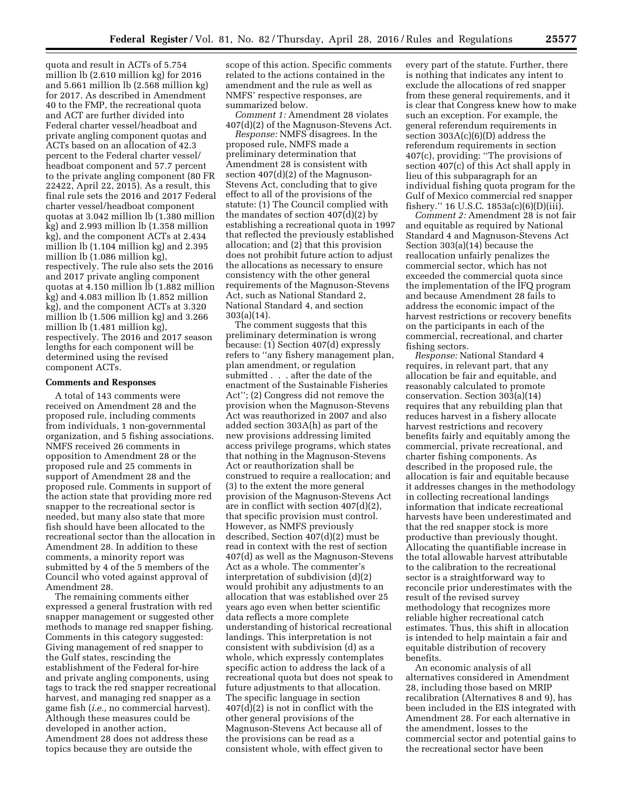quota and result in ACTs of 5.754 million lb (2.610 million kg) for 2016 and 5.661 million lb (2.568 million kg) for 2017. As described in Amendment 40 to the FMP, the recreational quota and ACT are further divided into Federal charter vessel/headboat and private angling component quotas and ACTs based on an allocation of 42.3 percent to the Federal charter vessel/ headboat component and 57.7 percent to the private angling component (80 FR 22422, April 22, 2015). As a result, this final rule sets the 2016 and 2017 Federal charter vessel/headboat component quotas at 3.042 million lb (1.380 million kg) and 2.993 million lb (1.358 million kg), and the component ACTs at 2.434 million lb (1.104 million kg) and 2.395 million lb (1.086 million kg), respectively. The rule also sets the 2016 and 2017 private angling component quotas at 4.150 million lb (1.882 million kg) and 4.083 million lb (1.852 million kg), and the component ACTs at 3.320 million lb (1.506 million kg) and 3.266 million lb (1.481 million kg), respectively. The 2016 and 2017 season lengths for each component will be determined using the revised component ACTs.

#### **Comments and Responses**

A total of 143 comments were received on Amendment 28 and the proposed rule, including comments from individuals, 1 non-governmental organization, and 5 fishing associations. NMFS received 26 comments in opposition to Amendment 28 or the proposed rule and 25 comments in support of Amendment 28 and the proposed rule. Comments in support of the action state that providing more red snapper to the recreational sector is needed, but many also state that more fish should have been allocated to the recreational sector than the allocation in Amendment 28. In addition to these comments, a minority report was submitted by 4 of the 5 members of the Council who voted against approval of Amendment 28.

The remaining comments either expressed a general frustration with red snapper management or suggested other methods to manage red snapper fishing. Comments in this category suggested: Giving management of red snapper to the Gulf states, rescinding the establishment of the Federal for-hire and private angling components, using tags to track the red snapper recreational harvest, and managing red snapper as a game fish (*i.e.,* no commercial harvest). Although these measures could be developed in another action, Amendment 28 does not address these topics because they are outside the

scope of this action. Specific comments related to the actions contained in the amendment and the rule as well as NMFS' respective responses, are summarized below.

*Comment 1:* Amendment 28 violates 407(d)(2) of the Magnuson-Stevens Act.

*Response:* NMFS disagrees. In the proposed rule, NMFS made a preliminary determination that Amendment 28 is consistent with section 407(d)(2) of the Magnuson-Stevens Act, concluding that to give effect to all of the provisions of the statute: (1) The Council complied with the mandates of section 407(d)(2) by establishing a recreational quota in 1997 that reflected the previously established allocation; and  $(2)$  that this provision does not prohibit future action to adjust the allocations as necessary to ensure consistency with the other general requirements of the Magnuson-Stevens Act, such as National Standard 2, National Standard 4, and section 303(a)(14).

The comment suggests that this preliminary determination is wrong because: (1) Section 407(d) expressly refers to ''any fishery management plan, plan amendment, or regulation submitted . . . after the date of the enactment of the Sustainable Fisheries Act''; (2) Congress did not remove the provision when the Magnuson-Stevens Act was reauthorized in 2007 and also added section 303A(h) as part of the new provisions addressing limited access privilege programs, which states that nothing in the Magnuson-Stevens Act or reauthorization shall be construed to require a reallocation; and (3) to the extent the more general provision of the Magnuson-Stevens Act are in conflict with section 407(d)(2), that specific provision must control. However, as NMFS previously described, Section 407(d)(2) must be read in context with the rest of section 407(d) as well as the Magnuson-Stevens Act as a whole. The commenter's interpretation of subdivision (d)(2) would prohibit any adjustments to an allocation that was established over 25 years ago even when better scientific data reflects a more complete understanding of historical recreational landings. This interpretation is not consistent with subdivision (d) as a whole, which expressly contemplates specific action to address the lack of a recreational quota but does not speak to future adjustments to that allocation. The specific language in section 407(d)(2) is not in conflict with the other general provisions of the Magnuson-Stevens Act because all of the provisions can be read as a consistent whole, with effect given to

every part of the statute. Further, there is nothing that indicates any intent to exclude the allocations of red snapper from these general requirements, and it is clear that Congress knew how to make such an exception. For example, the general referendum requirements in section 303A(c)(6)(D) address the referendum requirements in section 407(c), providing: ''The provisions of section 407(c) of this Act shall apply in lieu of this subparagraph for an individual fishing quota program for the Gulf of Mexico commercial red snapper fishery.'' 16 U.S.C. 1853a(c)(6)(D)(iii).

*Comment 2:* Amendment 28 is not fair and equitable as required by National Standard 4 and Magnuson-Stevens Act Section 303(a)(14) because the reallocation unfairly penalizes the commercial sector, which has not exceeded the commercial quota since the implementation of the IFQ program and because Amendment 28 fails to address the economic impact of the harvest restrictions or recovery benefits on the participants in each of the commercial, recreational, and charter fishing sectors.

*Response:* National Standard 4 requires, in relevant part, that any allocation be fair and equitable, and reasonably calculated to promote conservation. Section 303(a)(14) requires that any rebuilding plan that reduces harvest in a fishery allocate harvest restrictions and recovery benefits fairly and equitably among the commercial, private recreational, and charter fishing components. As described in the proposed rule, the allocation is fair and equitable because it addresses changes in the methodology in collecting recreational landings information that indicate recreational harvests have been underestimated and that the red snapper stock is more productive than previously thought. Allocating the quantifiable increase in the total allowable harvest attributable to the calibration to the recreational sector is a straightforward way to reconcile prior underestimates with the result of the revised survey methodology that recognizes more reliable higher recreational catch estimates. Thus, this shift in allocation is intended to help maintain a fair and equitable distribution of recovery benefits.

An economic analysis of all alternatives considered in Amendment 28, including those based on MRIP recalibration (Alternatives 8 and 9), has been included in the EIS integrated with Amendment 28. For each alternative in the amendment, losses to the commercial sector and potential gains to the recreational sector have been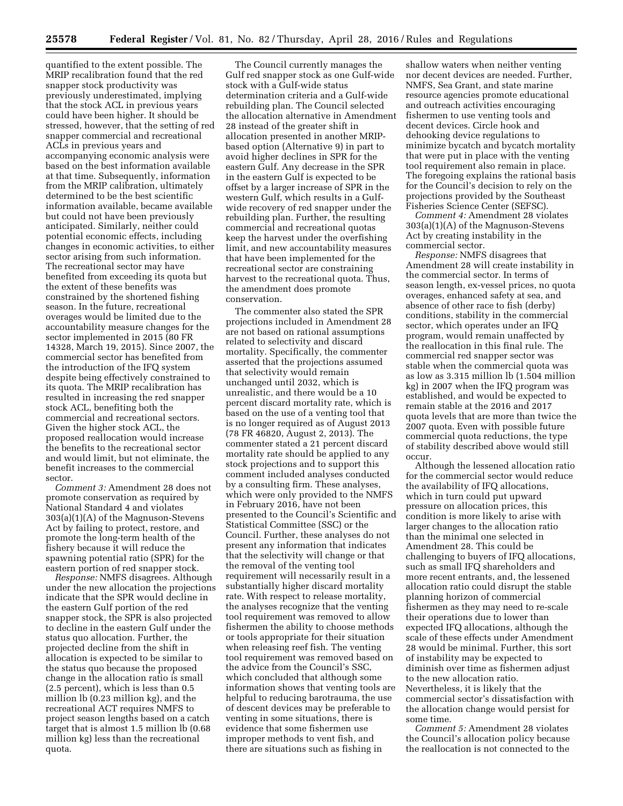quantified to the extent possible. The MRIP recalibration found that the red snapper stock productivity was previously underestimated, implying that the stock ACL in previous years could have been higher. It should be stressed, however, that the setting of red snapper commercial and recreational ACLs in previous years and accompanying economic analysis were based on the best information available at that time. Subsequently, information from the MRIP calibration, ultimately determined to be the best scientific information available, became available but could not have been previously anticipated. Similarly, neither could potential economic effects, including changes in economic activities, to either sector arising from such information. The recreational sector may have benefited from exceeding its quota but the extent of these benefits was constrained by the shortened fishing season. In the future, recreational overages would be limited due to the accountability measure changes for the sector implemented in 2015 (80 FR 14328, March 19, 2015). Since 2007, the commercial sector has benefited from the introduction of the IFQ system despite being effectively constrained to its quota. The MRIP recalibration has resulted in increasing the red snapper stock ACL, benefiting both the commercial and recreational sectors. Given the higher stock ACL, the proposed reallocation would increase the benefits to the recreational sector and would limit, but not eliminate, the benefit increases to the commercial sector.

*Comment 3:* Amendment 28 does not promote conservation as required by National Standard 4 and violates 303(a)(1)(A) of the Magnuson-Stevens Act by failing to protect, restore, and promote the long-term health of the fishery because it will reduce the spawning potential ratio (SPR) for the eastern portion of red snapper stock.

*Response:* NMFS disagrees. Although under the new allocation the projections indicate that the SPR would decline in the eastern Gulf portion of the red snapper stock, the SPR is also projected to decline in the eastern Gulf under the status quo allocation. Further, the projected decline from the shift in allocation is expected to be similar to the status quo because the proposed change in the allocation ratio is small (2.5 percent), which is less than 0.5 million lb (0.23 million kg), and the recreational ACT requires NMFS to project season lengths based on a catch target that is almost 1.5 million lb (0.68 million kg) less than the recreational quota.

The Council currently manages the Gulf red snapper stock as one Gulf-wide stock with a Gulf-wide status determination criteria and a Gulf-wide rebuilding plan. The Council selected the allocation alternative in Amendment 28 instead of the greater shift in allocation presented in another MRIPbased option (Alternative 9) in part to avoid higher declines in SPR for the eastern Gulf. Any decrease in the SPR in the eastern Gulf is expected to be offset by a larger increase of SPR in the western Gulf, which results in a Gulfwide recovery of red snapper under the rebuilding plan. Further, the resulting commercial and recreational quotas keep the harvest under the overfishing limit, and new accountability measures that have been implemented for the recreational sector are constraining harvest to the recreational quota. Thus, the amendment does promote conservation.

The commenter also stated the SPR projections included in Amendment 28 are not based on rational assumptions related to selectivity and discard mortality. Specifically, the commenter asserted that the projections assumed that selectivity would remain unchanged until 2032, which is unrealistic, and there would be a 10 percent discard mortality rate, which is based on the use of a venting tool that is no longer required as of August 2013 (78 FR 46820, August 2, 2013). The commenter stated a 21 percent discard mortality rate should be applied to any stock projections and to support this comment included analyses conducted by a consulting firm. These analyses, which were only provided to the NMFS in February 2016, have not been presented to the Council's Scientific and Statistical Committee (SSC) or the Council. Further, these analyses do not present any information that indicates that the selectivity will change or that the removal of the venting tool requirement will necessarily result in a substantially higher discard mortality rate. With respect to release mortality, the analyses recognize that the venting tool requirement was removed to allow fishermen the ability to choose methods or tools appropriate for their situation when releasing reef fish. The venting tool requirement was removed based on the advice from the Council's SSC, which concluded that although some information shows that venting tools are helpful to reducing barotrauma, the use of descent devices may be preferable to venting in some situations, there is evidence that some fishermen use improper methods to vent fish, and there are situations such as fishing in

shallow waters when neither venting nor decent devices are needed. Further, NMFS, Sea Grant, and state marine resource agencies promote educational and outreach activities encouraging fishermen to use venting tools and decent devices. Circle hook and dehooking device regulations to minimize bycatch and bycatch mortality that were put in place with the venting tool requirement also remain in place. The foregoing explains the rational basis for the Council's decision to rely on the projections provided by the Southeast Fisheries Science Center (SEFSC).

*Comment 4:* Amendment 28 violates 303(a)(1)(A) of the Magnuson-Stevens Act by creating instability in the commercial sector.

*Response:* NMFS disagrees that Amendment 28 will create instability in the commercial sector. In terms of season length, ex-vessel prices, no quota overages, enhanced safety at sea, and absence of other race to fish (derby) conditions, stability in the commercial sector, which operates under an IFQ program, would remain unaffected by the reallocation in this final rule. The commercial red snapper sector was stable when the commercial quota was as low as 3.315 million lb (1.504 million kg) in 2007 when the IFQ program was established, and would be expected to remain stable at the 2016 and 2017 quota levels that are more than twice the 2007 quota. Even with possible future commercial quota reductions, the type of stability described above would still occur.

Although the lessened allocation ratio for the commercial sector would reduce the availability of IFQ allocations, which in turn could put upward pressure on allocation prices, this condition is more likely to arise with larger changes to the allocation ratio than the minimal one selected in Amendment 28. This could be challenging to buyers of IFQ allocations, such as small IFQ shareholders and more recent entrants, and, the lessened allocation ratio could disrupt the stable planning horizon of commercial fishermen as they may need to re-scale their operations due to lower than expected IFQ allocations, although the scale of these effects under Amendment 28 would be minimal. Further, this sort of instability may be expected to diminish over time as fishermen adjust to the new allocation ratio. Nevertheless, it is likely that the commercial sector's dissatisfaction with the allocation change would persist for some time.

*Comment 5:* Amendment 28 violates the Council's allocation policy because the reallocation is not connected to the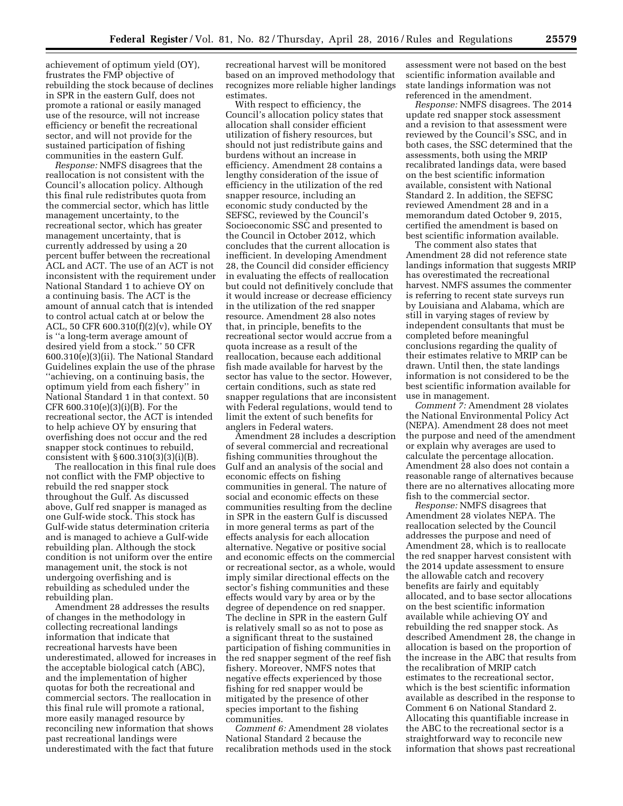achievement of optimum yield (OY), frustrates the FMP objective of rebuilding the stock because of declines in SPR in the eastern Gulf, does not promote a rational or easily managed use of the resource, will not increase efficiency or benefit the recreational sector, and will not provide for the sustained participation of fishing communities in the eastern Gulf.

*Response:* NMFS disagrees that the reallocation is not consistent with the Council's allocation policy. Although this final rule redistributes quota from the commercial sector, which has little management uncertainty, to the recreational sector, which has greater management uncertainty, that is currently addressed by using a 20 percent buffer between the recreational ACL and ACT. The use of an ACT is not inconsistent with the requirement under National Standard 1 to achieve OY on a continuing basis. The ACT is the amount of annual catch that is intended to control actual catch at or below the ACL, 50 CFR 600.310(f)(2)(v), while OY is ''a long-term average amount of desired yield from a stock.'' 50 CFR 600.310(e)(3)(ii). The National Standard Guidelines explain the use of the phrase ''achieving, on a continuing basis, the optimum yield from each fishery'' in National Standard 1 in that context. 50 CFR 600.310(e)(3)(i)(B). For the recreational sector, the ACT is intended to help achieve OY by ensuring that overfishing does not occur and the red snapper stock continues to rebuild, consistent with § 600.310(3)(3)(i)(B).

The reallocation in this final rule does not conflict with the FMP objective to rebuild the red snapper stock throughout the Gulf. As discussed above, Gulf red snapper is managed as one Gulf-wide stock. This stock has Gulf-wide status determination criteria and is managed to achieve a Gulf-wide rebuilding plan. Although the stock condition is not uniform over the entire management unit, the stock is not undergoing overfishing and is rebuilding as scheduled under the rebuilding plan.

Amendment 28 addresses the results of changes in the methodology in collecting recreational landings information that indicate that recreational harvests have been underestimated, allowed for increases in the acceptable biological catch (ABC), and the implementation of higher quotas for both the recreational and commercial sectors. The reallocation in this final rule will promote a rational, more easily managed resource by reconciling new information that shows past recreational landings were underestimated with the fact that future

recreational harvest will be monitored based on an improved methodology that recognizes more reliable higher landings estimates.

With respect to efficiency, the Council's allocation policy states that allocation shall consider efficient utilization of fishery resources, but should not just redistribute gains and burdens without an increase in efficiency. Amendment 28 contains a lengthy consideration of the issue of efficiency in the utilization of the red snapper resource, including an economic study conducted by the SEFSC, reviewed by the Council's Socioeconomic SSC and presented to the Council in October 2012, which concludes that the current allocation is inefficient. In developing Amendment 28, the Council did consider efficiency in evaluating the effects of reallocation but could not definitively conclude that it would increase or decrease efficiency in the utilization of the red snapper resource. Amendment 28 also notes that, in principle, benefits to the recreational sector would accrue from a quota increase as a result of the reallocation, because each additional fish made available for harvest by the sector has value to the sector. However, certain conditions, such as state red snapper regulations that are inconsistent with Federal regulations, would tend to limit the extent of such benefits for anglers in Federal waters.

Amendment 28 includes a description of several commercial and recreational fishing communities throughout the Gulf and an analysis of the social and economic effects on fishing communities in general. The nature of social and economic effects on these communities resulting from the decline in SPR in the eastern Gulf is discussed in more general terms as part of the effects analysis for each allocation alternative. Negative or positive social and economic effects on the commercial or recreational sector, as a whole, would imply similar directional effects on the sector's fishing communities and these effects would vary by area or by the degree of dependence on red snapper. The decline in SPR in the eastern Gulf is relatively small so as not to pose as a significant threat to the sustained participation of fishing communities in the red snapper segment of the reef fish fishery. Moreover, NMFS notes that negative effects experienced by those fishing for red snapper would be mitigated by the presence of other species important to the fishing communities.

*Comment 6:* Amendment 28 violates National Standard 2 because the recalibration methods used in the stock

assessment were not based on the best scientific information available and state landings information was not referenced in the amendment.

*Response:* NMFS disagrees. The 2014 update red snapper stock assessment and a revision to that assessment were reviewed by the Council's SSC, and in both cases, the SSC determined that the assessments, both using the MRIP recalibrated landings data, were based on the best scientific information available, consistent with National Standard 2. In addition, the SEFSC reviewed Amendment 28 and in a memorandum dated October 9, 2015, certified the amendment is based on best scientific information available.

The comment also states that Amendment 28 did not reference state landings information that suggests MRIP has overestimated the recreational harvest. NMFS assumes the commenter is referring to recent state surveys run by Louisiana and Alabama, which are still in varying stages of review by independent consultants that must be completed before meaningful conclusions regarding the quality of their estimates relative to MRIP can be drawn. Until then, the state landings information is not considered to be the best scientific information available for use in management.

*Comment 7:* Amendment 28 violates the National Environmental Policy Act (NEPA). Amendment 28 does not meet the purpose and need of the amendment or explain why averages are used to calculate the percentage allocation. Amendment 28 also does not contain a reasonable range of alternatives because there are no alternatives allocating more fish to the commercial sector.

*Response:* NMFS disagrees that Amendment 28 violates NEPA. The reallocation selected by the Council addresses the purpose and need of Amendment 28, which is to reallocate the red snapper harvest consistent with the 2014 update assessment to ensure the allowable catch and recovery benefits are fairly and equitably allocated, and to base sector allocations on the best scientific information available while achieving OY and rebuilding the red snapper stock. As described Amendment 28, the change in allocation is based on the proportion of the increase in the ABC that results from the recalibration of MRIP catch estimates to the recreational sector, which is the best scientific information available as described in the response to Comment 6 on National Standard 2. Allocating this quantifiable increase in the ABC to the recreational sector is a straightforward way to reconcile new information that shows past recreational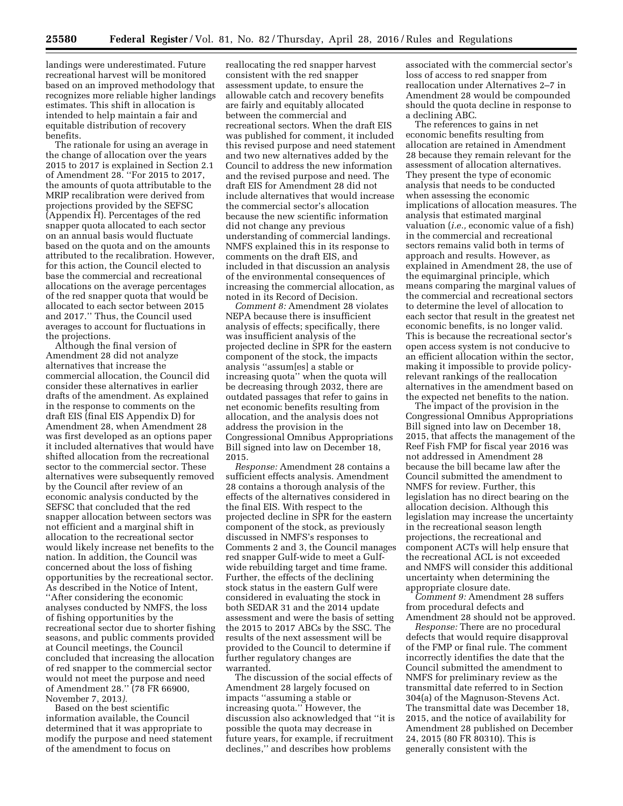landings were underestimated. Future recreational harvest will be monitored based on an improved methodology that recognizes more reliable higher landings estimates. This shift in allocation is intended to help maintain a fair and equitable distribution of recovery benefits.

The rationale for using an average in the change of allocation over the years 2015 to 2017 is explained in Section 2.1 of Amendment 28. ''For 2015 to 2017, the amounts of quota attributable to the MRIP recalibration were derived from projections provided by the SEFSC (Appendix H). Percentages of the red snapper quota allocated to each sector on an annual basis would fluctuate based on the quota and on the amounts attributed to the recalibration. However, for this action, the Council elected to base the commercial and recreational allocations on the average percentages of the red snapper quota that would be allocated to each sector between 2015 and 2017.'' Thus, the Council used averages to account for fluctuations in the projections.

Although the final version of Amendment 28 did not analyze alternatives that increase the commercial allocation, the Council did consider these alternatives in earlier drafts of the amendment. As explained in the response to comments on the draft EIS (final EIS Appendix D) for Amendment 28, when Amendment 28 was first developed as an options paper it included alternatives that would have shifted allocation from the recreational sector to the commercial sector. These alternatives were subsequently removed by the Council after review of an economic analysis conducted by the SEFSC that concluded that the red snapper allocation between sectors was not efficient and a marginal shift in allocation to the recreational sector would likely increase net benefits to the nation. In addition, the Council was concerned about the loss of fishing opportunities by the recreational sector. As described in the Notice of Intent, ''After considering the economic analyses conducted by NMFS, the loss of fishing opportunities by the recreational sector due to shorter fishing seasons, and public comments provided at Council meetings, the Council concluded that increasing the allocation of red snapper to the commercial sector would not meet the purpose and need of Amendment 28.'' (78 FR 66900, November 7, 2013*).* 

Based on the best scientific information available, the Council determined that it was appropriate to modify the purpose and need statement of the amendment to focus on

reallocating the red snapper harvest consistent with the red snapper assessment update, to ensure the allowable catch and recovery benefits are fairly and equitably allocated between the commercial and recreational sectors. When the draft EIS was published for comment, it included this revised purpose and need statement and two new alternatives added by the Council to address the new information and the revised purpose and need. The draft EIS for Amendment 28 did not include alternatives that would increase the commercial sector's allocation because the new scientific information did not change any previous understanding of commercial landings. NMFS explained this in its response to comments on the draft EIS, and included in that discussion an analysis of the environmental consequences of increasing the commercial allocation, as noted in its Record of Decision.

*Comment 8:* Amendment 28 violates NEPA because there is insufficient analysis of effects; specifically, there was insufficient analysis of the projected decline in SPR for the eastern component of the stock, the impacts analysis ''assum[es] a stable or increasing quota'' when the quota will be decreasing through 2032, there are outdated passages that refer to gains in net economic benefits resulting from allocation, and the analysis does not address the provision in the Congressional Omnibus Appropriations Bill signed into law on December 18, 2015.

*Response:* Amendment 28 contains a sufficient effects analysis. Amendment 28 contains a thorough analysis of the effects of the alternatives considered in the final EIS. With respect to the projected decline in SPR for the eastern component of the stock, as previously discussed in NMFS's responses to Comments 2 and 3, the Council manages red snapper Gulf-wide to meet a Gulfwide rebuilding target and time frame. Further, the effects of the declining stock status in the eastern Gulf were considered in evaluating the stock in both SEDAR 31 and the 2014 update assessment and were the basis of setting the 2015 to 2017 ABCs by the SSC. The results of the next assessment will be provided to the Council to determine if further regulatory changes are warranted.

The discussion of the social effects of Amendment 28 largely focused on impacts ''assuming a stable or increasing quota.'' However, the discussion also acknowledged that ''it is possible the quota may decrease in future years, for example, if recruitment declines,'' and describes how problems

associated with the commercial sector's loss of access to red snapper from reallocation under Alternatives 2–7 in Amendment 28 would be compounded should the quota decline in response to a declining ABC.

The references to gains in net economic benefits resulting from allocation are retained in Amendment 28 because they remain relevant for the assessment of allocation alternatives. They present the type of economic analysis that needs to be conducted when assessing the economic implications of allocation measures. The analysis that estimated marginal valuation (*i.e.,* economic value of a fish) in the commercial and recreational sectors remains valid both in terms of approach and results. However, as explained in Amendment 28, the use of the equimarginal principle, which means comparing the marginal values of the commercial and recreational sectors to determine the level of allocation to each sector that result in the greatest net economic benefits, is no longer valid. This is because the recreational sector's open access system is not conducive to an efficient allocation within the sector, making it impossible to provide policyrelevant rankings of the reallocation alternatives in the amendment based on the expected net benefits to the nation.

The impact of the provision in the Congressional Omnibus Appropriations Bill signed into law on December 18, 2015, that affects the management of the Reef Fish FMP for fiscal year 2016 was not addressed in Amendment 28 because the bill became law after the Council submitted the amendment to NMFS for review. Further, this legislation has no direct bearing on the allocation decision. Although this legislation may increase the uncertainty in the recreational season length projections, the recreational and component ACTs will help ensure that the recreational ACL is not exceeded and NMFS will consider this additional uncertainty when determining the appropriate closure date.

*Comment 9:* Amendment 28 suffers from procedural defects and Amendment 28 should not be approved.

*Response:* There are no procedural defects that would require disapproval of the FMP or final rule. The comment incorrectly identifies the date that the Council submitted the amendment to NMFS for preliminary review as the transmittal date referred to in Section 304(a) of the Magnuson-Stevens Act. The transmittal date was December 18, 2015, and the notice of availability for Amendment 28 published on December 24, 2015 (80 FR 80310). This is generally consistent with the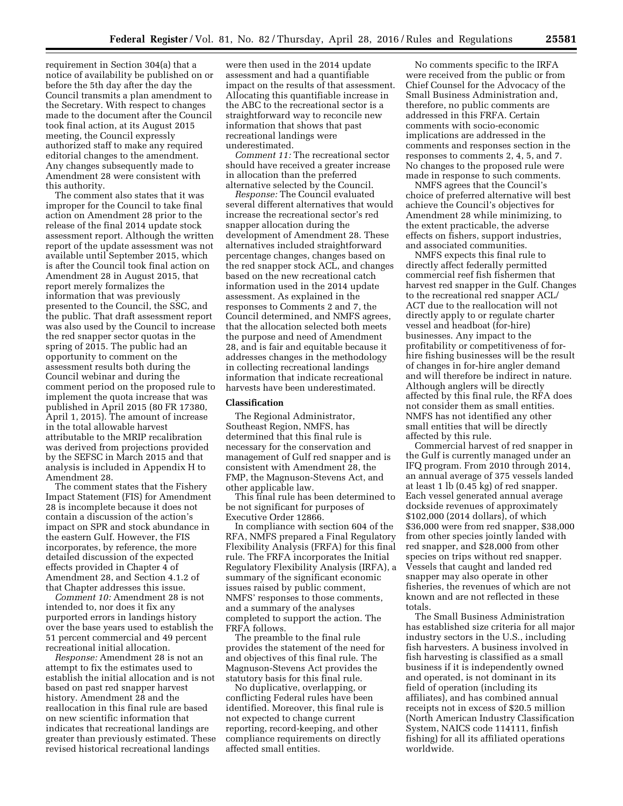requirement in Section 304(a) that a notice of availability be published on or before the 5th day after the day the Council transmits a plan amendment to the Secretary. With respect to changes made to the document after the Council took final action, at its August 2015 meeting, the Council expressly authorized staff to make any required editorial changes to the amendment. Any changes subsequently made to Amendment 28 were consistent with this authority.

The comment also states that it was improper for the Council to take final action on Amendment 28 prior to the release of the final 2014 update stock assessment report. Although the written report of the update assessment was not available until September 2015, which is after the Council took final action on Amendment 28 in August 2015, that report merely formalizes the information that was previously presented to the Council, the SSC, and the public. That draft assessment report was also used by the Council to increase the red snapper sector quotas in the spring of 2015. The public had an opportunity to comment on the assessment results both during the Council webinar and during the comment period on the proposed rule to implement the quota increase that was published in April 2015 (80 FR 17380, April 1, 2015). The amount of increase in the total allowable harvest attributable to the MRIP recalibration was derived from projections provided by the SEFSC in March 2015 and that analysis is included in Appendix H to Amendment 28.

The comment states that the Fishery Impact Statement (FIS) for Amendment 28 is incomplete because it does not contain a discussion of the action's impact on SPR and stock abundance in the eastern Gulf. However, the FIS incorporates, by reference, the more detailed discussion of the expected effects provided in Chapter 4 of Amendment 28, and Section 4.1.2 of that Chapter addresses this issue.

*Comment 10:* Amendment 28 is not intended to, nor does it fix any purported errors in landings history over the base years used to establish the 51 percent commercial and 49 percent recreational initial allocation.

*Response:* Amendment 28 is not an attempt to fix the estimates used to establish the initial allocation and is not based on past red snapper harvest history. Amendment 28 and the reallocation in this final rule are based on new scientific information that indicates that recreational landings are greater than previously estimated. These revised historical recreational landings

were then used in the 2014 update assessment and had a quantifiable impact on the results of that assessment. Allocating this quantifiable increase in the ABC to the recreational sector is a straightforward way to reconcile new information that shows that past recreational landings were underestimated.

*Comment 11:* The recreational sector should have received a greater increase in allocation than the preferred alternative selected by the Council.

*Response:* The Council evaluated several different alternatives that would increase the recreational sector's red snapper allocation during the development of Amendment 28. These alternatives included straightforward percentage changes, changes based on the red snapper stock ACL, and changes based on the new recreational catch information used in the 2014 update assessment. As explained in the responses to Comments 2 and 7, the Council determined, and NMFS agrees, that the allocation selected both meets the purpose and need of Amendment 28, and is fair and equitable because it addresses changes in the methodology in collecting recreational landings information that indicate recreational harvests have been underestimated.

#### **Classification**

The Regional Administrator, Southeast Region, NMFS, has determined that this final rule is necessary for the conservation and management of Gulf red snapper and is consistent with Amendment 28, the FMP, the Magnuson-Stevens Act, and other applicable law.

This final rule has been determined to be not significant for purposes of Executive Order 12866.

In compliance with section 604 of the RFA, NMFS prepared a Final Regulatory Flexibility Analysis (FRFA) for this final rule. The FRFA incorporates the Initial Regulatory Flexibility Analysis (IRFA), a summary of the significant economic issues raised by public comment, NMFS' responses to those comments, and a summary of the analyses completed to support the action. The FRFA follows.

The preamble to the final rule provides the statement of the need for and objectives of this final rule. The Magnuson-Stevens Act provides the statutory basis for this final rule.

No duplicative, overlapping, or conflicting Federal rules have been identified. Moreover, this final rule is not expected to change current reporting, record-keeping, and other compliance requirements on directly affected small entities.

No comments specific to the IRFA were received from the public or from Chief Counsel for the Advocacy of the Small Business Administration and, therefore, no public comments are addressed in this FRFA. Certain comments with socio-economic implications are addressed in the comments and responses section in the responses to comments 2, 4, 5, and 7. No changes to the proposed rule were made in response to such comments.

NMFS agrees that the Council's choice of preferred alternative will best achieve the Council's objectives for Amendment 28 while minimizing, to the extent practicable, the adverse effects on fishers, support industries, and associated communities.

NMFS expects this final rule to directly affect federally permitted commercial reef fish fishermen that harvest red snapper in the Gulf. Changes to the recreational red snapper ACL/ ACT due to the reallocation will not directly apply to or regulate charter vessel and headboat (for-hire) businesses. Any impact to the profitability or competitiveness of forhire fishing businesses will be the result of changes in for-hire angler demand and will therefore be indirect in nature. Although anglers will be directly affected by this final rule, the RFA does not consider them as small entities. NMFS has not identified any other small entities that will be directly affected by this rule.

Commercial harvest of red snapper in the Gulf is currently managed under an IFQ program. From 2010 through 2014, an annual average of 375 vessels landed at least 1 lb (0.45 kg) of red snapper. Each vessel generated annual average dockside revenues of approximately \$102,000 (2014 dollars), of which \$36,000 were from red snapper, \$38,000 from other species jointly landed with red snapper, and \$28,000 from other species on trips without red snapper. Vessels that caught and landed red snapper may also operate in other fisheries, the revenues of which are not known and are not reflected in these totals.

The Small Business Administration has established size criteria for all major industry sectors in the U.S., including fish harvesters. A business involved in fish harvesting is classified as a small business if it is independently owned and operated, is not dominant in its field of operation (including its affiliates), and has combined annual receipts not in excess of \$20.5 million (North American Industry Classification System, NAICS code 114111, finfish fishing) for all its affiliated operations worldwide.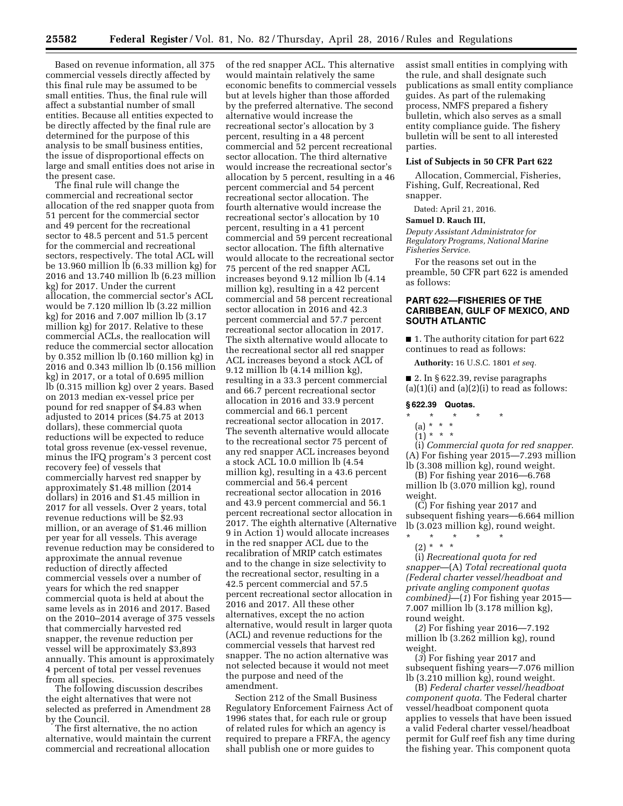Based on revenue information, all 375 commercial vessels directly affected by this final rule may be assumed to be small entities. Thus, the final rule will affect a substantial number of small entities. Because all entities expected to be directly affected by the final rule are determined for the purpose of this analysis to be small business entities, the issue of disproportional effects on large and small entities does not arise in the present case.

The final rule will change the commercial and recreational sector allocation of the red snapper quota from 51 percent for the commercial sector and 49 percent for the recreational sector to 48.5 percent and 51.5 percent for the commercial and recreational sectors, respectively. The total ACL will be 13.960 million lb (6.33 million kg) for 2016 and 13.740 million lb (6.23 million kg) for 2017. Under the current allocation, the commercial sector's ACL would be 7.120 million lb (3.22 million kg) for 2016 and 7.007 million lb (3.17 million kg) for 2017. Relative to these commercial ACLs, the reallocation will reduce the commercial sector allocation by 0.352 million lb (0.160 million kg) in 2016 and 0.343 million lb (0.156 million kg) in 2017, or a total of 0.695 million lb (0.315 million kg) over 2 years. Based on 2013 median ex-vessel price per pound for red snapper of \$4.83 when adjusted to 2014 prices (\$4.75 at 2013 dollars), these commercial quota reductions will be expected to reduce total gross revenue (ex-vessel revenue, minus the IFQ program's 3 percent cost recovery fee) of vessels that commercially harvest red snapper by approximately \$1.48 million (2014 dollars) in 2016 and \$1.45 million in 2017 for all vessels. Over 2 years, total revenue reductions will be \$2.93 million, or an average of \$1.46 million per year for all vessels. This average revenue reduction may be considered to approximate the annual revenue reduction of directly affected commercial vessels over a number of years for which the red snapper commercial quota is held at about the same levels as in 2016 and 2017. Based on the 2010–2014 average of 375 vessels that commercially harvested red snapper, the revenue reduction per vessel will be approximately \$3,893 annually. This amount is approximately 4 percent of total per vessel revenues from all species.

The following discussion describes the eight alternatives that were not selected as preferred in Amendment 28 by the Council.

The first alternative, the no action alternative, would maintain the current commercial and recreational allocation

of the red snapper ACL. This alternative would maintain relatively the same economic benefits to commercial vessels but at levels higher than those afforded by the preferred alternative. The second alternative would increase the recreational sector's allocation by 3 percent, resulting in a 48 percent commercial and 52 percent recreational sector allocation. The third alternative would increase the recreational sector's allocation by 5 percent, resulting in a 46 percent commercial and 54 percent recreational sector allocation. The fourth alternative would increase the recreational sector's allocation by 10 percent, resulting in a 41 percent commercial and 59 percent recreational sector allocation. The fifth alternative would allocate to the recreational sector 75 percent of the red snapper ACL increases beyond 9.12 million lb (4.14 million kg), resulting in a 42 percent commercial and 58 percent recreational sector allocation in 2016 and 42.3 percent commercial and 57.7 percent recreational sector allocation in 2017. The sixth alternative would allocate to the recreational sector all red snapper ACL increases beyond a stock ACL of 9.12 million lb (4.14 million kg), resulting in a 33.3 percent commercial and 66.7 percent recreational sector allocation in 2016 and 33.9 percent commercial and 66.1 percent recreational sector allocation in 2017. The seventh alternative would allocate to the recreational sector 75 percent of any red snapper ACL increases beyond a stock ACL 10.0 million lb (4.54 million kg), resulting in a 43.6 percent commercial and 56.4 percent recreational sector allocation in 2016 and 43.9 percent commercial and 56.1 percent recreational sector allocation in 2017. The eighth alternative (Alternative 9 in Action 1) would allocate increases in the red snapper ACL due to the recalibration of MRIP catch estimates and to the change in size selectivity to the recreational sector, resulting in a 42.5 percent commercial and 57.5 percent recreational sector allocation in 2016 and 2017. All these other alternatives, except the no action alternative, would result in larger quota (ACL) and revenue reductions for the commercial vessels that harvest red snapper. The no action alternative was not selected because it would not meet the purpose and need of the amendment.

Section 212 of the Small Business Regulatory Enforcement Fairness Act of 1996 states that, for each rule or group of related rules for which an agency is required to prepare a FRFA, the agency shall publish one or more guides to

assist small entities in complying with the rule, and shall designate such publications as small entity compliance guides. As part of the rulemaking process, NMFS prepared a fishery bulletin, which also serves as a small entity compliance guide. The fishery bulletin will be sent to all interested parties.

#### **List of Subjects in 50 CFR Part 622**

Allocation, Commercial, Fisheries, Fishing, Gulf, Recreational, Red snapper.

Dated: April 21, 2016.

#### **Samuel D. Rauch III,**

*Deputy Assistant Administrator for Regulatory Programs, National Marine Fisheries Service.* 

For the reasons set out in the preamble, 50 CFR part 622 is amended as follows:

#### **PART 622—FISHERIES OF THE CARIBBEAN, GULF OF MEXICO, AND SOUTH ATLANTIC**

■ 1. The authority citation for part 622 continues to read as follows:

**Authority:** 16 U.S.C. 1801 *et seq.* 

■ 2. In § 622.39, revise paragraphs  $(a)(1)(i)$  and  $(a)(2)(i)$  to read as follows:

#### **§ 622.39 Quotas.**

\* \* \* \* \*

## (a) \* \* \*

 $(1) * * * *$ 

(i) *Commercial quota for red snapper.*  (A) For fishing year 2015—7.293 million lb (3.308 million kg), round weight.

(B) For fishing year 2016—6.768 million lb (3.070 million kg), round weight.

(C) For fishing year 2017 and subsequent fishing years—6.664 million lb (3.023 million kg), round weight.

\* \* \* \* \* (2) \* \* \*

(i) *Recreational quota for red snapper*—(A) *Total recreational quota (Federal charter vessel/headboat and private angling component quotas combined)*—(*1*) For fishing year 2015— 7.007 million lb (3.178 million kg), round weight.

(*2*) For fishing year 2016—7.192 million lb (3.262 million kg), round weight.

(*3*) For fishing year 2017 and subsequent fishing years—7.076 million lb (3.210 million kg), round weight.

(B) *Federal charter vessel/headboat component quota.* The Federal charter vessel/headboat component quota applies to vessels that have been issued a valid Federal charter vessel/headboat permit for Gulf reef fish any time during the fishing year. This component quota